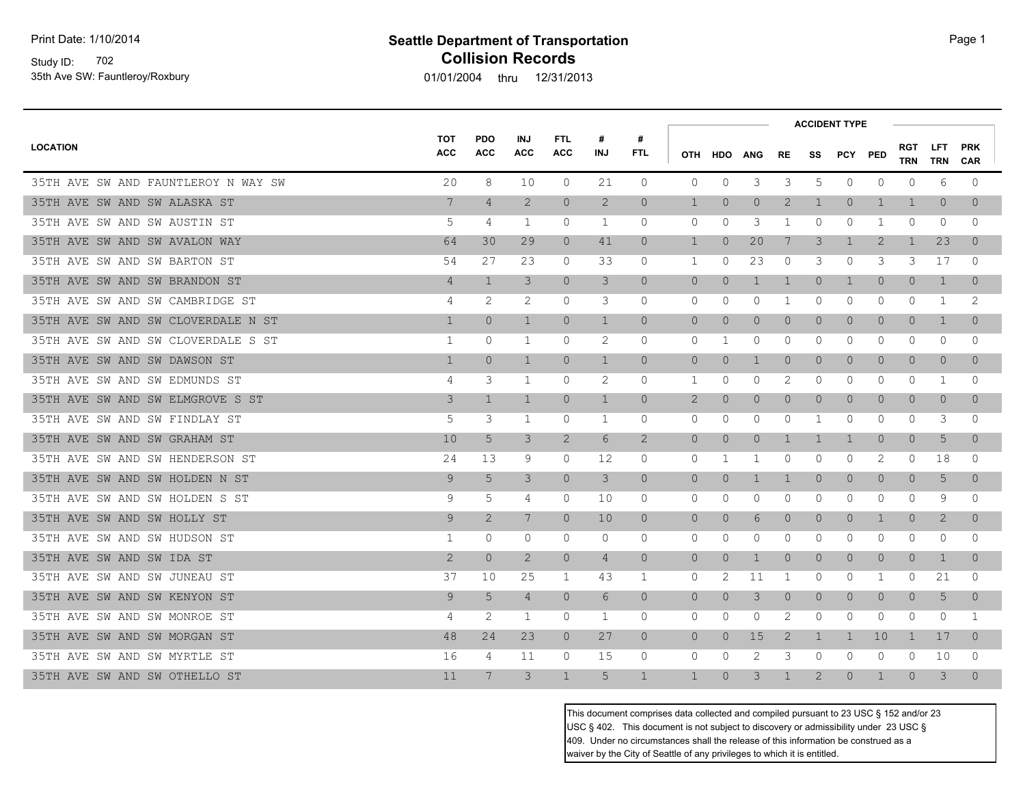Study ID: 702 35th Ave SW: Fauntleroy/Roxbury

# **Seattle Department of Transportation Page 1 Collision Records**

01/01/2004 thru 12/31/2013

|                                     |                          |                          |                          |                          |                 |                 | <b>ACCIDENT TYPE</b> |                |                |                |                |                |                |                          |                |                          |
|-------------------------------------|--------------------------|--------------------------|--------------------------|--------------------------|-----------------|-----------------|----------------------|----------------|----------------|----------------|----------------|----------------|----------------|--------------------------|----------------|--------------------------|
| <b>LOCATION</b>                     | <b>TOT</b><br><b>ACC</b> | <b>PDO</b><br><b>ACC</b> | <b>INJ</b><br><b>ACC</b> | <b>FTL</b><br><b>ACC</b> | #<br><b>INJ</b> | #<br><b>FTL</b> | <b>OTH</b>           | <b>HDO</b>     | <b>ANG</b>     | RE             |                | SS PCY PED     |                | <b>RGT</b><br><b>TRN</b> | LFT.<br>TRN    | <b>PRK</b><br><b>CAR</b> |
| 35TH AVE SW AND FAUNTLEROY N WAY SW | 20                       | 8                        | 10                       | $\circ$                  | 21              | $\circ$         | 0                    | $\circ$        | 3              | 3              | 5              | $\circ$        | $\mathbf{0}$   | $\mathbf{0}$             | 6              | $\circ$                  |
| 35TH AVE SW AND SW ALASKA ST        | 7                        | $\overline{4}$           | $\mathbf{2}$             | $\circ$                  | $\mathbf{2}$    | $\circ$         | $\mathbf 1$          | $\Omega$       | $\circ$        | 2              | $\mathbf{1}$   | $\overline{0}$ | 1              | 1                        | $\overline{0}$ | $\Omega$                 |
| 35TH AVE SW AND SW AUSTIN ST        | 5                        | 4                        | 1                        | 0                        | 1               | $\circ$         | 0                    | 0              | 3              | 1              | 0              | 0              | 1              | $\Omega$                 | $\mathbf{0}$   | 0                        |
| 35TH AVE SW AND SW AVALON WAY       | 64                       | 30                       | 29                       | $\circ$                  | 41              | $\circ$         | $\mathbf{1}$         | $\overline{0}$ | 20             | 7              | 3              | $\mathbf{1}$   | 2              | 1                        | 23             | $\overline{0}$           |
| 35TH AVE SW AND SW BARTON ST        | 54                       | 27                       | 23                       | $\circ$                  | 33              | $\Omega$        | 1                    | $\Omega$       | 23             | 0              | 3              | 0              | 3              | 3                        | 17             | $\Omega$                 |
| 35TH AVE SW AND SW BRANDON ST       | $\overline{4}$           | $\mathbf{1}$             | 3                        | $\overline{0}$           | 3               | $\overline{0}$  | $\overline{0}$       | $\overline{0}$ | $\mathbf{1}$   | $\mathbf{1}$   | $\overline{0}$ | $\mathbf 1$    | $\circ$        | $\overline{0}$           | $\mathbf{1}$   | $\overline{0}$           |
| 35TH AVE SW AND SW CAMBRIDGE ST     | 4                        | 2                        | 2                        | 0                        | 3               | 0               | 0                    | 0              | 0              | 1              | 0              | 0              | 0              | 0                        | 1              | 2                        |
| 35TH AVE SW AND SW CLOVERDALE N ST  | $\mathbf{1}$             | $\Omega$                 | $\mathbf{1}$             | $\Omega$                 | $\mathbf{1}$    | $\overline{0}$  | $\overline{0}$       | $\Omega$       | $\circ$        | $\overline{0}$ | $\Omega$       | $\overline{0}$ | $\Omega$       | $\Omega$                 | $\mathbf{1}$   | $\Omega$                 |
| 35TH AVE SW AND SW CLOVERDALE S ST  | 1                        | 0                        | 1                        | $\circ$                  | 2               | 0               | 0                    | 1              | 0              | 0              | 0              | $\mathbf{0}$   | 0              | 0                        | $\mathbf{0}$   | 0                        |
| 35TH AVE SW AND SW DAWSON ST        | $\mathbf 1$              | $\overline{0}$           | $\mathbf{1}$             | $\circ$                  | $\mathbf{1}$    | $\circ$         | $\circ$              | $\overline{0}$ | 1              | $\overline{0}$ | $\overline{0}$ | $\overline{0}$ | $\circ$        | $\circ$                  | $\overline{0}$ | $\overline{0}$           |
| 35TH AVE SW AND SW EDMUNDS ST       | 4                        | 3                        | 1                        | $\circ$                  | 2               | 0               | 1                    | $\Omega$       | 0              | 2              | 0              | $\circ$        | 0              | 0                        | 1              | $\mathbf 0$              |
| 35TH AVE SW AND SW ELMGROVE S ST    | 3                        | $\mathbf{1}$             | $\mathbf{1}$             | $\circ$                  | $\mathbf{1}$    | $\circ$         | $\overline{2}$       | $\Omega$       | $\overline{0}$ | $\overline{0}$ | $\Omega$       | $\overline{0}$ | $\circ$        | $\Omega$                 | $\overline{0}$ | $\Omega$                 |
| 35TH AVE SW AND SW FINDLAY ST       | 5                        | 3                        | 1                        | $\circ$                  | $\mathbf{1}$    | 0               | 0                    | 0              | 0              | 0              | -1             | 0              | 0              | 0                        | 3              | 0                        |
| 35TH AVE SW AND SW GRAHAM ST        | 10                       | 5                        | 3                        | $\mathbf{2}$             | 6               | $\overline{2}$  | $\circ$              | $\overline{0}$ | $\circ$        | $\mathbf{1}$   | $\mathbf{1}$   | $\mathbf 1$    | $\overline{0}$ | $\overline{0}$           | 5              | $\overline{0}$           |
| 35TH AVE SW AND SW HENDERSON ST     | 24                       | 13                       | 9                        | $\Omega$                 | 12              | 0               | 0                    | -1             | 1              | $\Omega$       | $\Omega$       | $\Omega$       | 2              | $\Omega$                 | 18             | $\Omega$                 |
| 35TH AVE SW AND SW HOLDEN N ST      | 9                        | 5                        | 3                        | $\circ$                  | 3               | $\circ$         | $\circ$              | $\overline{0}$ | 1              | $\mathbf{1}$   | $\overline{0}$ | $\overline{0}$ | $\circ$        | $\circ$                  | 5              | $\overline{0}$           |
| 35TH AVE SW AND SW HOLDEN S ST      | 9                        | 5                        | 4                        | $\circ$                  | 10              | $\Omega$        | 0                    | $\Omega$       | 0              | 0              | $\Omega$       | $\mathbf{0}$   | 0              | $\Omega$                 | 9              | $\Omega$                 |
| 35TH AVE SW AND SW HOLLY ST         | 9                        | 2                        | 7                        | $\Omega$                 | 10 <sup>°</sup> | $\Omega$        | $\circ$              | $\Omega$       | 6              | $\circ$        | $\overline{0}$ | $\circ$        | $\mathbf{1}$   | $\Omega$                 | $\overline{2}$ | $\Omega$                 |
| 35TH AVE SW AND SW HUDSON ST        | 1                        | 0                        | 0                        | 0                        | 0               | 0               | 0                    | 0              | 0              | 0              | 0              | 0              | 0              | 0                        | 0              | 0                        |
| 35TH AVE SW AND SW IDA ST           | 2                        | $\Omega$                 | $\mathbf{2}$             | $\overline{0}$           | $\overline{4}$  | $\overline{0}$  | $\overline{0}$       | $\overline{0}$ | 1              | $\Omega$       | $\Omega$       | $\circ$        | $\circ$        | $\overline{0}$           | $\mathbf{1}$   | $\overline{0}$           |
| 35TH AVE SW AND SW JUNEAU ST        | 37                       | 10                       | 25                       | 1                        | 43              | 1               | 0                    | 2              | 11             | 1              | 0              | 0              | 1              | $\Omega$                 | 21             | $\mathbf 0$              |
| 35TH AVE SW AND SW KENYON ST        | 9                        | 5                        | 4                        | $\circ$                  | 6               | $\overline{0}$  | $\overline{0}$       | $\overline{0}$ | 3              | $\overline{0}$ | $\circ$        | $\overline{0}$ | $\circ$        | $\overline{0}$           | 5              | $\overline{0}$           |
| 35TH AVE SW AND SW MONROE ST        | 4                        | 2                        | 1                        | $\circ$                  | $\mathbf{1}$    | 0               | 0                    | 0              | 0              | 2              | 0              | $\circ$        | 0              | 0                        | $\circ$        | 1                        |
| 35TH AVE SW AND SW MORGAN ST        | 48                       | 24                       | 23                       | $\overline{0}$           | 27              | $\overline{0}$  | $\overline{0}$       | $\Omega$       | 15             | 2              | $\mathbf{1}$   | $\mathbf 1$    | 10             | $\mathbf{1}$             | 17             | $\Omega$                 |
| 35TH AVE SW AND SW MYRTLE ST        | 16                       | 4                        | 11                       | $\Omega$                 | 15              | $\Omega$        | $\Omega$             | $\Omega$       | 2              | 3              | $\Omega$       | $\Omega$       | 0              | $\Omega$                 | 10             | $\Omega$                 |
| 35TH AVE SW AND SW OTHELLO ST       | 11                       | 7                        | 3                        | $\mathbf{1}$             | 5               | $\mathbf{1}$    | $\mathbf{1}$         | $\Omega$       | 3              |                | 2              | $\Omega$       | 1              | $\cap$                   | 3              | $\Omega$                 |

This document comprises data collected and compiled pursuant to 23 USC § 152 and/or 23 USC § 402. This document is not subject to discovery or admissibility under 23 USC § 409. Under no circumstances shall the release of this information be construed as a waiver by the City of Seattle of any privileges to which it is entitled.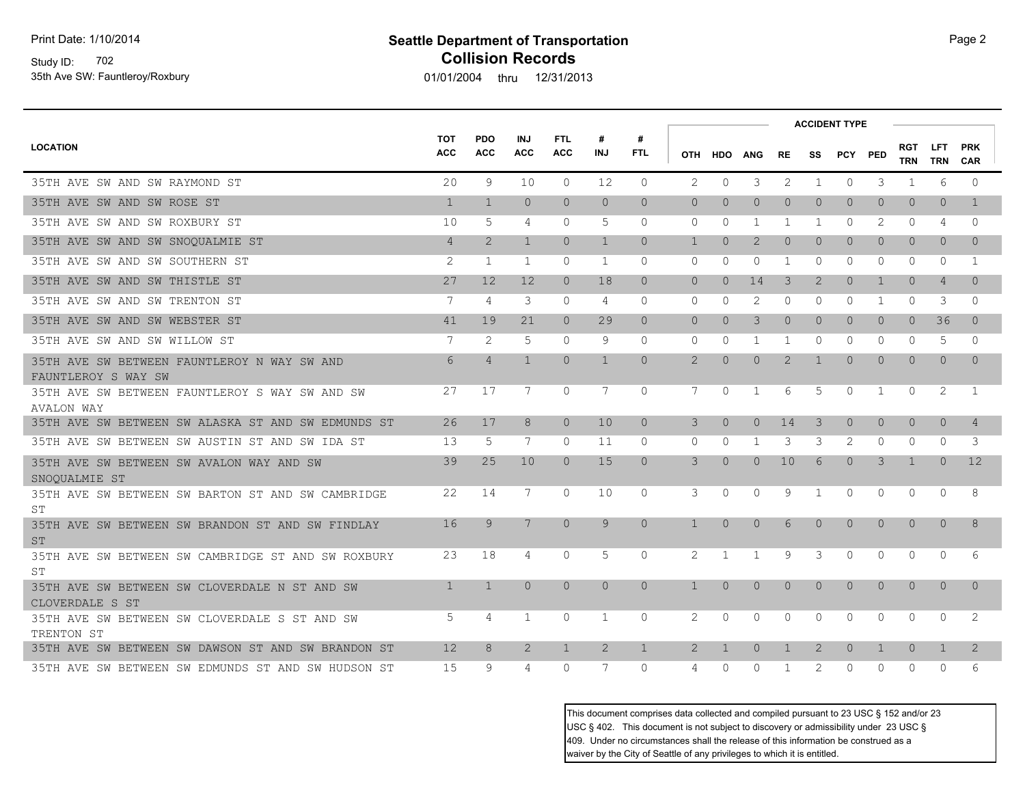Study ID: 702 35th Ave SW: Fauntleroy/Roxbury

## **Seattle Department of Transportation Page 2** Page 2 **Collision Records**

01/01/2004 thru 12/31/2013

|                                                                     |                          |                          |                          |                          |                 |                 |                |              | <b>ACCIDENT TYPE</b> |                |                |                |                |                   |                   |                          |  |  |
|---------------------------------------------------------------------|--------------------------|--------------------------|--------------------------|--------------------------|-----------------|-----------------|----------------|--------------|----------------------|----------------|----------------|----------------|----------------|-------------------|-------------------|--------------------------|--|--|
| <b>LOCATION</b>                                                     | <b>TOT</b><br><b>ACC</b> | <b>PDO</b><br><b>ACC</b> | <b>INJ</b><br><b>ACC</b> | <b>FTL</b><br><b>ACC</b> | #<br><b>INJ</b> | #<br><b>FTL</b> |                | OTH HDO ANG  |                      | RE.            | SS             | PCY PED        |                | <b>RGT</b><br>TRN | <b>LFT</b><br>TRN | <b>PRK</b><br><b>CAR</b> |  |  |
| 35TH AVE SW AND SW RAYMOND ST                                       | 20                       | 9                        | 10                       | $\Omega$                 | 12              | $\Omega$        | $\overline{2}$ | $\Omega$     | 3                    | 2              | 1              | $\circ$        | 3              | 1                 | 6                 | $\Omega$                 |  |  |
| 35TH AVE SW AND SW ROSE ST                                          | $\mathbf{1}$             | $\mathbf{1}$             | $\Omega$                 | $\Omega$                 | $\Omega$        | $\Omega$        | $\Omega$       | $\Omega$     | $\Omega$             | $\Omega$       | $\Omega$       | $\Omega$       | $\Omega$       | $\Omega$          | $\Omega$          | $\mathbf{1}$             |  |  |
| 35TH AVE SW AND SW ROXBURY ST                                       | 10                       | 5                        | 4                        | $\circ$                  | 5               | $\mathbf{0}$    | $\mathbf{0}$   | $\Omega$     | 1                    | 1              | 1              | $\Omega$       | 2              | 0                 | 4                 | $\Omega$                 |  |  |
| 35TH AVE SW AND SW SNOQUALMIE ST                                    | $\overline{4}$           | $\overline{2}$           | $\mathbf{1}$             | $\Omega$                 | $\mathbf{1}$    | $\Omega$        | $\mathbf{1}$   | $\Omega$     | $\overline{2}$       | $\overline{0}$ | $\Omega$       | $\Omega$       | $\Omega$       | $\Omega$          | $\Omega$          | $\Omega$                 |  |  |
| 35TH AVE SW AND SW SOUTHERN ST                                      | 2                        | 1                        | 1                        | $\Omega$                 | 1               | $\Omega$        | $\Omega$       | $\Omega$     | $\mathbf{0}$         | 1              | $\Omega$       | $\Omega$       | $\Omega$       | $\Omega$          | $\Omega$          | -1                       |  |  |
| 35TH AVE SW AND SW THISTLE ST                                       | 27                       | 12                       | 12                       | $\Omega$                 | 18              | $\Omega$        | $\Omega$       | $\Omega$     | 14                   | 3              | $\overline{2}$ | $\Omega$       | $\overline{1}$ | $\Omega$          | $\overline{4}$    | $\Omega$                 |  |  |
| 35TH AVE SW AND SW TRENTON ST                                       | 7                        | 4                        | 3                        | $\Omega$                 | 4               | $\Omega$        | $\Omega$       | $\Omega$     | 2                    | $\Omega$       | $\Omega$       | $\Omega$       | 1              | $\Omega$          | 3                 | $\Omega$                 |  |  |
| 35TH AVE SW AND SW WEBSTER ST                                       | 41                       | 19                       | 21                       | $\overline{0}$           | 29              | $\overline{0}$  | $\overline{0}$ | $\Omega$     | 3                    | $\overline{0}$ | $\circ$        | $\overline{0}$ | $\Omega$       | $\overline{0}$    | 36                | $\Omega$                 |  |  |
| 35TH AVE SW AND SW WILLOW ST                                        | 7                        | 2                        | 5                        | $\circ$                  | 9               | $\mathbf{0}$    | $\circ$        | $\Omega$     | $\mathbf{1}$         | 1              | $\Omega$       | 0              | $\Omega$       | $\circ$           | 5                 | $\Omega$                 |  |  |
| 35TH AVE SW BETWEEN FAUNTLEROY N WAY SW AND<br>FAUNTLEROY S WAY SW  | 6                        | $\overline{4}$           | $\mathbf{1}$             | $\Omega$                 | $\mathbf{1}$    | $\Omega$        | 2              | $\Omega$     | $\overline{0}$       | 2              | 1              | $\Omega$       | $\Omega$       | $\Omega$          | $\Omega$          | $\Omega$                 |  |  |
| 35TH AVE SW BETWEEN FAUNTLEROY S WAY SW AND SW<br><b>AVALON WAY</b> | 27                       | 17                       | 7                        | $\Omega$                 | 7               | $\Omega$        | 7              | $\Omega$     | 1                    | 6              | 5              | $\Omega$       | 1              | $\Omega$          | 2                 | $\overline{1}$           |  |  |
| 35TH AVE SW BETWEEN SW ALASKA ST AND SW EDMUNDS ST                  | 26                       | 17                       | 8                        | $\Omega$                 | 10              | $\Omega$        | 3              | $\Omega$     | $\overline{0}$       | 14             | 3              | $\Omega$       | $\Omega$       | $\Omega$          | $\Omega$          | $\overline{4}$           |  |  |
| 35TH AVE SW BETWEEN SW AUSTIN ST AND SW IDA ST                      | 13                       | 5                        | 7                        | $\Omega$                 | 11              | $\Omega$        | $\Omega$       | $\Omega$     | 1                    | 3              | 3              | $\overline{2}$ | $\Omega$       | $\Omega$          | $\Omega$          | 3                        |  |  |
| 35TH AVE SW BETWEEN SW AVALON WAY AND SW<br>SNOOUALMIE ST           | 39                       | 25                       | 10                       | $\overline{0}$           | 15              | $\overline{0}$  | 3              | $\Omega$     | $\overline{0}$       | 10             | 6              | $\overline{0}$ | 3              | $\mathbf{1}$      | $\Omega$          | 12                       |  |  |
| 35TH AVE SW BETWEEN SW BARTON ST AND SW CAMBRIDGE<br>ST             | 22                       | 14                       | 7                        | $\circ$                  | 10              | $\circ$         | 3              | $\circ$      | $\circ$              | 9              | 1              | 0              | $\circ$        | 0                 | $\circ$           | 8                        |  |  |
| 35TH AVE SW BETWEEN SW BRANDON ST AND SW FINDLAY<br><b>ST</b>       | 16                       | 9                        | 7                        | $\Omega$                 | 9               | $\Omega$        | $\mathbf{1}$   | $\Omega$     | $\overline{0}$       | 6              | $\Omega$       | $\Omega$       | $\Omega$       | $\Omega$          | $\Omega$          | 8                        |  |  |
| 35TH AVE SW BETWEEN SW CAMBRIDGE ST AND SW ROXBURY<br>ST            | 23                       | 18                       | 4                        | $\Omega$                 | 5               | $\Omega$        | 2              | -1           | 1                    | 9              | 3              | $\Omega$       | $\Omega$       | $\Omega$          | $\Omega$          | 6                        |  |  |
| 35TH AVE SW BETWEEN SW CLOVERDALE N ST AND SW<br>CLOVERDALE S ST    | $\overline{1}$           | $\overline{1}$           | $\Omega$                 | $\Omega$                 | $\Omega$        | $\Omega$        | $\mathbf{1}$   | $\Omega$     | $\Omega$             | $\Omega$       | $\Omega$       | $\Omega$       | $\Omega$       | $\Omega$          | $\Omega$          | $\Omega$                 |  |  |
| 35TH AVE SW BETWEEN SW CLOVERDALE S ST AND SW<br>TRENTON ST         | 5                        | 4                        | 1                        | $\Omega$                 | 1               | $\Omega$        | 2              | $\Omega$     | $\Omega$             | $\Omega$       | $\Omega$       | $\Omega$       | $\Omega$       | $\Omega$          | $\Omega$          | 2                        |  |  |
| 35TH AVE SW BETWEEN SW DAWSON ST AND SW BRANDON ST                  | 12                       | 8                        | 2                        | $\mathbf{1}$             | 2               | $\mathbf{1}$    | $\overline{2}$ | $\mathbf{1}$ | $\Omega$             | $\mathbf{1}$   | $\overline{2}$ | $\overline{0}$ | $\mathbf{1}$   | $\Omega$          | $\mathbf{1}$      | $\overline{2}$           |  |  |
| 35TH AVE SW BETWEEN SW EDMUNDS ST AND SW HUDSON ST                  | 15                       | 9                        | 4                        | $\Omega$                 | 7               | $\Omega$        | 4              | $\Omega$     | $\Omega$             | 1              | 2              | $\Omega$       | $\Omega$       | $\Omega$          | $\Omega$          | 6                        |  |  |

This document comprises data collected and compiled pursuant to 23 USC § 152 and/or 23 USC § 402. This document is not subject to discovery or admissibility under 23 USC § 409. Under no circumstances shall the release of this information be construed as a waiver by the City of Seattle of any privileges to which it is entitled.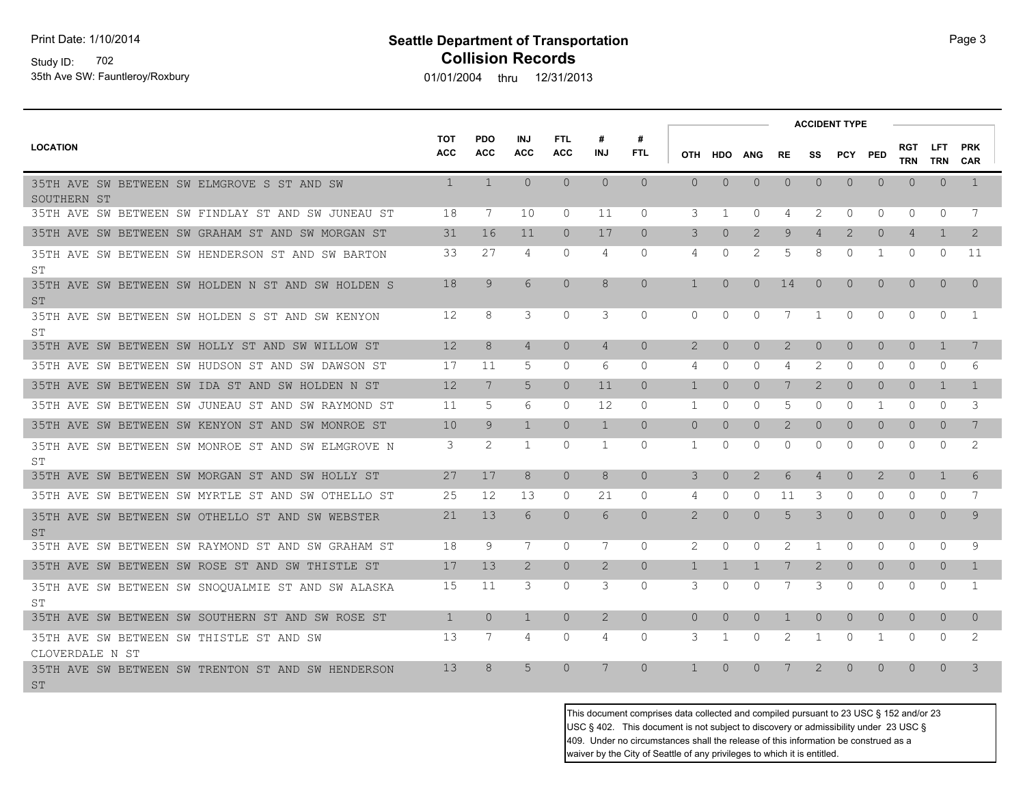Print Date: 1/10/2014

### Study ID: 702 35th Ave SW: Fauntleroy/Roxbury

## **Seattle Department of Transportation Page 3 Collision Records**

01/01/2004 thru 12/31/2013

|                                                                 |                          |                          |                          |                          |                |                 |                |              |                       |              |                         | <b>ACCIDENT TYPE</b> |                |                   |                          |                          |
|-----------------------------------------------------------------|--------------------------|--------------------------|--------------------------|--------------------------|----------------|-----------------|----------------|--------------|-----------------------|--------------|-------------------------|----------------------|----------------|-------------------|--------------------------|--------------------------|
| <b>LOCATION</b>                                                 | <b>TOT</b><br><b>ACC</b> | <b>PDO</b><br><b>ACC</b> | <b>INJ</b><br><b>ACC</b> | <b>FTL</b><br><b>ACC</b> | #<br>INJ       | #<br><b>FTL</b> |                | OTH HDO      | ANG                   | <b>RE</b>    | SS                      | PCY PED              |                | RGT<br><b>TRN</b> | <b>LFT</b><br><b>TRN</b> | <b>PRK</b><br><b>CAR</b> |
| 35TH AVE SW BETWEEN SW ELMGROVE S ST AND SW<br>SOUTHERN ST      | $\mathbf{1}$             | $\mathbf{1}$             | $\Omega$                 | $\Omega$                 | $\Omega$       | $\Omega$        | $\Omega$       | $\Omega$     | $\overline{0}$        | $\Omega$     | $\Omega$                | $\overline{0}$       | $\Omega$       | $\Omega$          | $\Omega$                 | $\mathbf{1}$             |
| 35TH AVE SW BETWEEN SW FINDLAY ST AND SW JUNEAU ST              | 18                       | 7                        | 10                       | $\Omega$                 | 11             | $\Omega$        | 3              | 1            | $\Omega$              | 4            | 2                       | $\Omega$             | $\Omega$       | $\Omega$          | $\Omega$                 | 7                        |
| 35TH AVE SW BETWEEN SW GRAHAM ST AND SW MORGAN ST               | 31                       | 16                       | 11                       | $\Omega$                 | 17             | $\Omega$        | 3              | $\Omega$     | $\overline{2}$        | 9            | $\overline{4}$          | $\overline{2}$       | $\circ$        | $\overline{4}$    | $\mathbf{1}$             | 2                        |
| 35TH AVE SW BETWEEN SW HENDERSON ST AND SW BARTON<br>ST         | 33                       | 27                       | $\overline{4}$           | $\Omega$                 | 4              | $\Omega$        | 4              | $\Omega$     | $\mathbf{2}^{\prime}$ | 5            | 8                       | $\Omega$             | 1              | $\Omega$          | $\Omega$                 | 11                       |
| 35TH AVE SW BETWEEN SW HOLDEN N ST AND SW HOLDEN S<br><b>ST</b> | 18                       | 9                        | 6                        | $\Omega$                 | 8              | $\Omega$        | $\mathbf{1}$   | $\Omega$     | $\Omega$              | 14           | $\Omega$                | $\overline{0}$       | $\Omega$       | $\Omega$          | $\Omega$                 | $\Omega$                 |
| 35TH AVE SW BETWEEN SW HOLDEN S ST AND SW KENYON<br>SТ          | 12                       | 8                        | 3                        | $\Omega$                 | 3              | $\Omega$        | $\Omega$       | $\Omega$     | $\Omega$              | 7            | 1                       | $\Omega$             | $\Omega$       | $\Omega$          | $\Omega$                 | 1                        |
| 35TH AVE SW BETWEEN SW HOLLY ST AND SW WILLOW ST                | 12                       | 8                        | $\overline{4}$           | $\Omega$                 | $\overline{4}$ | $\Omega$        | 2              | $\Omega$     | $\Omega$              | 2            | $\Omega$                | $\Omega$             | $\Omega$       | $\Omega$          | $\mathbf{1}$             | 7                        |
| 35TH AVE SW BETWEEN SW HUDSON ST AND SW DAWSON ST               | 17                       | 11                       | 5                        | $\Omega$                 | 6              | $\Omega$        | 4              | $\Omega$     | $\Omega$              | 4            | 2                       | 0                    | 0              | $\Omega$          | 0                        | 6                        |
| 35TH AVE SW BETWEEN SW IDA ST AND SW HOLDEN N ST                | 12                       | 7                        | 5                        | $\Omega$                 | 11             | $\Omega$        | $\mathbf{1}$   | $\Omega$     | $\Omega$              | 7            | $\overline{2}$          | $\Omega$             | $\Omega$       | $\Omega$          | $\mathbf{1}$             | $\overline{1}$           |
| 35TH AVE SW BETWEEN SW JUNEAU ST AND SW RAYMOND ST              | 11                       | 5                        | 6                        | $\Omega$                 | 12             | $\Omega$        | 1              | $\Omega$     | 0                     | 5            | $\mathbf{0}$            | $\Omega$             | 1              | $\Omega$          | $\Omega$                 | 3                        |
| 35TH AVE SW BETWEEN SW KENYON ST AND SW MONROE ST               | 10                       | 9                        | $\mathbf{1}$             | $\Omega$                 | $\mathbf{1}$   | $\Omega$        | $\overline{0}$ | $\Omega$     | $\Omega$              | 2            | $\Omega$                | $\Omega$             | $\Omega$       | $\Omega$          | $\Omega$                 | 7                        |
| 35TH AVE SW BETWEEN SW MONROE ST AND SW ELMGROVE N<br>SТ        | 3                        | 2                        | 1                        | $\Omega$                 | 1              | $\Omega$        | 1              | $\Omega$     | $\Omega$              | $\Omega$     | $\Omega$                | $\Omega$             | $\Omega$       | $\Omega$          | $\Omega$                 | 2                        |
| 35TH AVE SW BETWEEN SW MORGAN ST AND SW HOLLY ST                | 27                       | 17                       | 8                        | $\bigcap$                | 8              | $\bigcap$       | 3              | $\Omega$     | $\overline{2}$        | 6            | $\overline{4}$          | $\Omega$             | $\overline{2}$ | $\Omega$          | $\mathbf{1}$             | 6                        |
| 35TH AVE SW BETWEEN SW MYRTLE ST AND SW OTHELLO ST              | 25                       | 12                       | 13                       | $\Omega$                 | 21             | $\Omega$        | 4              | $\Omega$     | $\Omega$              | 11           | 3                       | $\Omega$             | 0              | $\Omega$          | $\mathbf{0}$             | 7                        |
| 35TH AVE SW BETWEEN SW OTHELLO ST AND SW WEBSTER<br><b>ST</b>   | 21                       | 13                       | 6                        | $\Omega$                 | 6              | $\Omega$        | 2              | $\Omega$     | $\Omega$              | 5            | 3                       | $\Omega$             | $\Omega$       | $\Omega$          | $\Omega$                 | 9                        |
| 35TH AVE SW BETWEEN SW RAYMOND ST AND SW GRAHAM ST              | 18                       | 9                        | 7                        | $\Omega$                 | 7              | $\Omega$        | 2              | $\Omega$     | $\Omega$              | 2            | -1                      | $\Omega$             | 0              | $\Omega$          | $\Omega$                 | 9                        |
| 35TH AVE SW BETWEEN SW ROSE ST AND SW THISTLE ST                | 17                       | 13                       | $\overline{2}$           | $\Omega$                 | $\overline{2}$ | $\Omega$        | $\mathbf{1}$   | $\mathbf{1}$ | $\mathbf{1}$          | 7            | $\overline{2}$          | $\Omega$             | $\Omega$       | $\Omega$          | $\Omega$                 | $\mathbf{1}$             |
| 35TH AVE SW BETWEEN SW SNOQUALMIE ST AND SW ALASKA<br>ST.       | 15                       | 11                       | 3                        | $\mathbf{0}$             | 3              | $\Omega$        | 3              | $\Omega$     | 0                     | 7            | 3                       | 0                    | $\Omega$       | $\Omega$          | $\Omega$                 | -1                       |
| 35TH AVE SW BETWEEN SW SOUTHERN ST AND SW ROSE ST               | $\mathbf{1}$             | $\Omega$                 | $\mathbf{1}$             | $\Omega$                 | $\overline{2}$ | $\Omega$        | $\Omega$       | $\Omega$     | $\Omega$              | $\mathbf{1}$ | $\Omega$                | $\Omega$             | $\Omega$       | $\Omega$          | $\overline{0}$           | $\Omega$                 |
| 35TH AVE SW BETWEEN SW THISTLE ST AND SW<br>CLOVERDALE N ST     | 13                       | 7                        | 4                        | $\circ$                  | 4              | 0               | 3              | 1            | 0                     | 2            | -1                      | 0                    | 1              | $\Omega$          | 0                        | 2                        |
| 35TH AVE SW BETWEEN SW TRENTON ST AND SW HENDERSON<br><b>ST</b> | 13                       | 8                        | 5                        | $\Omega$                 | 7              | $\Omega$        | $\mathbf{1}$   | $\Omega$     | $\Omega$              |              | $\mathcal{D}_{1}^{(1)}$ | $\Omega$             | $\Omega$       | $\Omega$          | $\Omega$                 | 3                        |

This document comprises data collected and compiled pursuant to 23 USC § 152 and/or 23 USC § 402. This document is not subject to discovery or admissibility under 23 USC § 409. Under no circumstances shall the release of this information be construed as a waiver by the City of Seattle of any privileges to which it is entitled.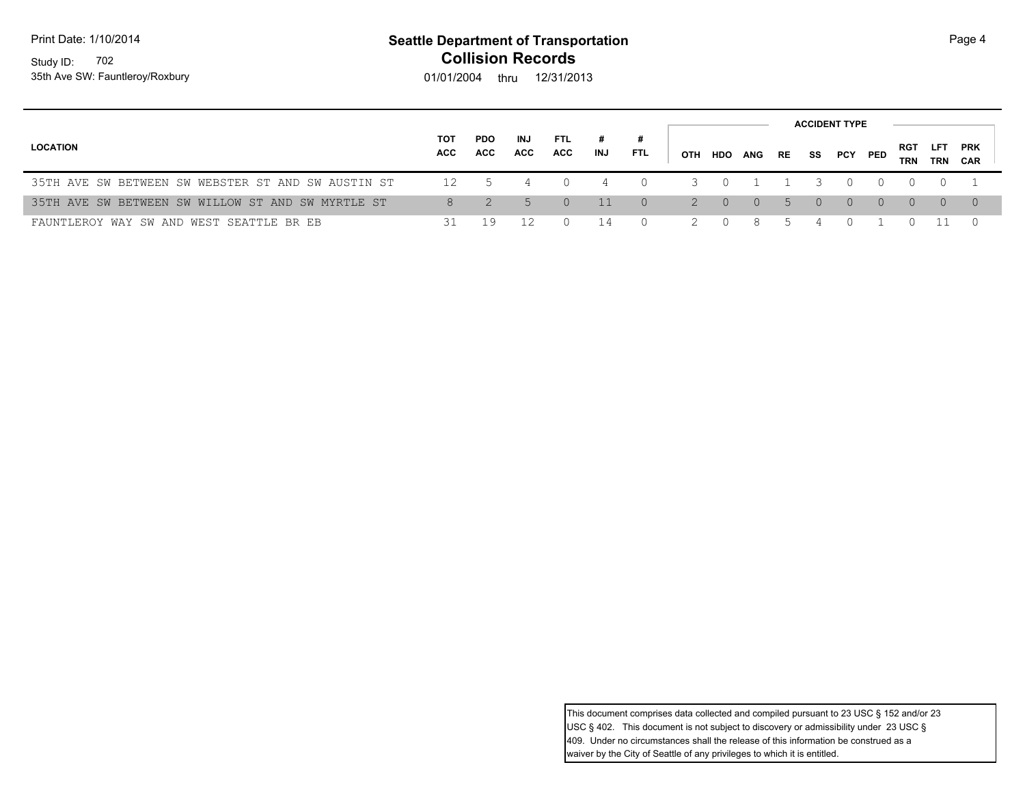Print Date: 1/10/2014

### Study ID: 702 35th Ave SW: Fauntleroy/Roxbury

## **Seattle Department of Transportation Page 4 Collision Records**

01/01/2004 thru 12/31/2013

| <b>LOCATION</b>                                    | тот<br>ACC | <b>PDO</b><br><b>ACC</b> | INJ<br><b>ACC</b> | FTL.<br>ACC      | #<br>INJ | <b>FTL</b> | ОТН            | HDO              | ANG    | RE | SS       | PCY PED   |          | <b>RGT</b><br><b>TRN</b> | <b>LFT</b><br>TRN | <b>PRK</b><br>CAR |
|----------------------------------------------------|------------|--------------------------|-------------------|------------------|----------|------------|----------------|------------------|--------|----|----------|-----------|----------|--------------------------|-------------------|-------------------|
| 35TH AVE SW BETWEEN SW WEBSTER ST AND SW AUSTIN ST | 12         | $\mathcal{L}$            | $\overline{4}$    |                  |          | $\Omega$   | $\mathcal{R}$  | $\bigcirc$       |        |    |          |           |          |                          |                   |                   |
| 35TH AVE SW BETWEEN SW WILLOW ST AND SW MYRTLE ST  | 8          |                          |                   | $\left( \right)$ | $-11$    | $\Omega$   | $\overline{2}$ | $\Box$ 0         | $\cup$ |    | $\Omega$ | $\bigcap$ | $\Omega$ | $\Omega$                 | $\Omega$          | $\bigcup$         |
| FAUNTLEROY WAY SW AND WEST SEATTLE BR EB           | 31         | 19                       |                   |                  | 14       |            |                | $\left( \right)$ | -8     |    |          |           |          |                          |                   |                   |

This document comprises data collected and compiled pursuant to 23 USC § 152 and/or 23 USC § 402. This document is not subject to discovery or admissibility under 23 USC § 409. Under no circumstances shall the release of this information be construed as a waiver by the City of Seattle of any privileges to which it is entitled.